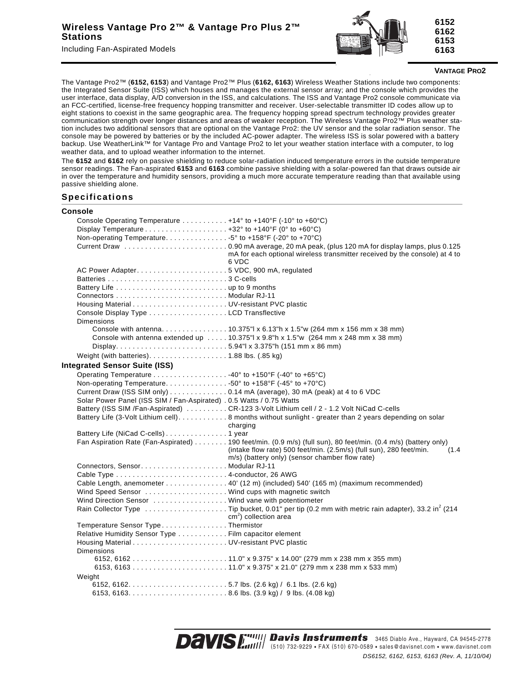Including Fan-Aspirated Models



## **VANTAGE PRO2**

The Vantage Pro2™ (**6152, 6153**) and Vantage Pro2™ Plus (**6162, 6163**) Wireless Weather Stations include two components: the Integrated Sensor Suite (ISS) which houses and manages the external sensor array; and the console which provides the user interface, data display, A/D conversion in the ISS, and calculations. The ISS and Vantage Pro2 console communicate via an FCC-certified, license-free frequency hopping transmitter and receiver. User-selectable transmitter ID codes allow up to eight stations to coexist in the same geographic area. The frequency hopping spread spectrum technology provides greater communication strength over longer distances and areas of weaker reception. The Wireless Vantage Pro2™ Plus weather station includes two additional sensors that are optional on the Vantage Pro2: the UV sensor and the solar radiation sensor. The console may be powered by batteries or by the included AC-power adapter. The wireless ISS is solar powered with a battery backup. Use WeatherLink™ for Vantage Pro and Vantage Pro2 to let your weather station interface with a computer, to log weather data, and to upload weather information to the internet.

The **6152** and **6162** rely on passive shielding to reduce solar-radiation induced temperature errors in the outside temperature sensor readings. The Fan-aspirated **6153** and **6163** combine passive shielding with a solar-powered fan that draws outside air in over the temperature and humidity sensors, providing a much more accurate temperature reading than that available using passive shielding alone.

## **Specifications**

| Console Operating Temperature +14° to +140°F (-10° to +60°C)<br>Non-operating Temperature. 5° to +158°F (-20° to +70°C)<br>mA for each optional wireless transmitter received by the console) at 4 to<br>6 VDC<br>Console Display Type LCD Transflective<br><b>Dimensions</b><br>Console with antenna10.375"  x 6.13"h x 1.5"w (264 mm x 156 mm x 38 mm)<br>Console with antenna extended up 10.375"  x 9.8"h x 1.5"w (264 mm x 248 mm x 38 mm)<br>Display5.94"  x 3.375"h (151 mm x 86 mm)<br>Weight (with batteries). 1.88 lbs. (.85 kg)<br><b>Integrated Sensor Suite (ISS)</b><br>Operating Temperature 40° to +150°F (-40° to +65°C)<br>Non-operating Temperature50° to +158°F (-45° to +70°C)<br>Current Draw (ISS SIM only) 0.14 mA (average), 30 mA (peak) at 4 to 6 VDC<br>Solar Power Panel (ISS SIM / Fan-Aspirated) . 0.5 Watts / 0.75 Watts<br>Battery (ISS SIM /Fan-Aspirated) CR-123 3-Volt Lithium cell / 2 - 1.2 Volt NiCad C-cells<br>Battery Life (3-Volt Lithium cell). 8 months without sunlight - greater than 2 years depending on solar<br>charging<br>Fan Aspiration Rate (Fan-Aspirated) 190 feet/min. (0.9 m/s) (full sun), 80 feet/min. (0.4 m/s) (battery only)<br>(intake flow rate) 500 feet/min. (2.5m/s) (full sun), 280 feet/min.<br>(1.4)<br>m/s) (battery only) (sensor chamber flow rate)<br>Cable Length, anemometer 40' (12 m) (included) 540' (165 m) (maximum recommended)<br>Wind Speed Sensor  Wind cups with magnetic switch<br>Wind Direction Sensor  Wind vane with potentiometer |
|---------------------------------------------------------------------------------------------------------------------------------------------------------------------------------------------------------------------------------------------------------------------------------------------------------------------------------------------------------------------------------------------------------------------------------------------------------------------------------------------------------------------------------------------------------------------------------------------------------------------------------------------------------------------------------------------------------------------------------------------------------------------------------------------------------------------------------------------------------------------------------------------------------------------------------------------------------------------------------------------------------------------------------------------------------------------------------------------------------------------------------------------------------------------------------------------------------------------------------------------------------------------------------------------------------------------------------------------------------------------------------------------------------------------------------------------------------------------------------------------------------------------------------|
|                                                                                                                                                                                                                                                                                                                                                                                                                                                                                                                                                                                                                                                                                                                                                                                                                                                                                                                                                                                                                                                                                                                                                                                                                                                                                                                                                                                                                                                                                                                                 |
|                                                                                                                                                                                                                                                                                                                                                                                                                                                                                                                                                                                                                                                                                                                                                                                                                                                                                                                                                                                                                                                                                                                                                                                                                                                                                                                                                                                                                                                                                                                                 |
|                                                                                                                                                                                                                                                                                                                                                                                                                                                                                                                                                                                                                                                                                                                                                                                                                                                                                                                                                                                                                                                                                                                                                                                                                                                                                                                                                                                                                                                                                                                                 |
|                                                                                                                                                                                                                                                                                                                                                                                                                                                                                                                                                                                                                                                                                                                                                                                                                                                                                                                                                                                                                                                                                                                                                                                                                                                                                                                                                                                                                                                                                                                                 |
|                                                                                                                                                                                                                                                                                                                                                                                                                                                                                                                                                                                                                                                                                                                                                                                                                                                                                                                                                                                                                                                                                                                                                                                                                                                                                                                                                                                                                                                                                                                                 |
|                                                                                                                                                                                                                                                                                                                                                                                                                                                                                                                                                                                                                                                                                                                                                                                                                                                                                                                                                                                                                                                                                                                                                                                                                                                                                                                                                                                                                                                                                                                                 |
|                                                                                                                                                                                                                                                                                                                                                                                                                                                                                                                                                                                                                                                                                                                                                                                                                                                                                                                                                                                                                                                                                                                                                                                                                                                                                                                                                                                                                                                                                                                                 |
|                                                                                                                                                                                                                                                                                                                                                                                                                                                                                                                                                                                                                                                                                                                                                                                                                                                                                                                                                                                                                                                                                                                                                                                                                                                                                                                                                                                                                                                                                                                                 |
|                                                                                                                                                                                                                                                                                                                                                                                                                                                                                                                                                                                                                                                                                                                                                                                                                                                                                                                                                                                                                                                                                                                                                                                                                                                                                                                                                                                                                                                                                                                                 |
|                                                                                                                                                                                                                                                                                                                                                                                                                                                                                                                                                                                                                                                                                                                                                                                                                                                                                                                                                                                                                                                                                                                                                                                                                                                                                                                                                                                                                                                                                                                                 |
|                                                                                                                                                                                                                                                                                                                                                                                                                                                                                                                                                                                                                                                                                                                                                                                                                                                                                                                                                                                                                                                                                                                                                                                                                                                                                                                                                                                                                                                                                                                                 |
|                                                                                                                                                                                                                                                                                                                                                                                                                                                                                                                                                                                                                                                                                                                                                                                                                                                                                                                                                                                                                                                                                                                                                                                                                                                                                                                                                                                                                                                                                                                                 |
|                                                                                                                                                                                                                                                                                                                                                                                                                                                                                                                                                                                                                                                                                                                                                                                                                                                                                                                                                                                                                                                                                                                                                                                                                                                                                                                                                                                                                                                                                                                                 |
|                                                                                                                                                                                                                                                                                                                                                                                                                                                                                                                                                                                                                                                                                                                                                                                                                                                                                                                                                                                                                                                                                                                                                                                                                                                                                                                                                                                                                                                                                                                                 |
|                                                                                                                                                                                                                                                                                                                                                                                                                                                                                                                                                                                                                                                                                                                                                                                                                                                                                                                                                                                                                                                                                                                                                                                                                                                                                                                                                                                                                                                                                                                                 |
|                                                                                                                                                                                                                                                                                                                                                                                                                                                                                                                                                                                                                                                                                                                                                                                                                                                                                                                                                                                                                                                                                                                                                                                                                                                                                                                                                                                                                                                                                                                                 |
|                                                                                                                                                                                                                                                                                                                                                                                                                                                                                                                                                                                                                                                                                                                                                                                                                                                                                                                                                                                                                                                                                                                                                                                                                                                                                                                                                                                                                                                                                                                                 |
|                                                                                                                                                                                                                                                                                                                                                                                                                                                                                                                                                                                                                                                                                                                                                                                                                                                                                                                                                                                                                                                                                                                                                                                                                                                                                                                                                                                                                                                                                                                                 |
|                                                                                                                                                                                                                                                                                                                                                                                                                                                                                                                                                                                                                                                                                                                                                                                                                                                                                                                                                                                                                                                                                                                                                                                                                                                                                                                                                                                                                                                                                                                                 |
|                                                                                                                                                                                                                                                                                                                                                                                                                                                                                                                                                                                                                                                                                                                                                                                                                                                                                                                                                                                                                                                                                                                                                                                                                                                                                                                                                                                                                                                                                                                                 |
|                                                                                                                                                                                                                                                                                                                                                                                                                                                                                                                                                                                                                                                                                                                                                                                                                                                                                                                                                                                                                                                                                                                                                                                                                                                                                                                                                                                                                                                                                                                                 |
|                                                                                                                                                                                                                                                                                                                                                                                                                                                                                                                                                                                                                                                                                                                                                                                                                                                                                                                                                                                                                                                                                                                                                                                                                                                                                                                                                                                                                                                                                                                                 |
|                                                                                                                                                                                                                                                                                                                                                                                                                                                                                                                                                                                                                                                                                                                                                                                                                                                                                                                                                                                                                                                                                                                                                                                                                                                                                                                                                                                                                                                                                                                                 |
|                                                                                                                                                                                                                                                                                                                                                                                                                                                                                                                                                                                                                                                                                                                                                                                                                                                                                                                                                                                                                                                                                                                                                                                                                                                                                                                                                                                                                                                                                                                                 |
|                                                                                                                                                                                                                                                                                                                                                                                                                                                                                                                                                                                                                                                                                                                                                                                                                                                                                                                                                                                                                                                                                                                                                                                                                                                                                                                                                                                                                                                                                                                                 |
|                                                                                                                                                                                                                                                                                                                                                                                                                                                                                                                                                                                                                                                                                                                                                                                                                                                                                                                                                                                                                                                                                                                                                                                                                                                                                                                                                                                                                                                                                                                                 |
|                                                                                                                                                                                                                                                                                                                                                                                                                                                                                                                                                                                                                                                                                                                                                                                                                                                                                                                                                                                                                                                                                                                                                                                                                                                                                                                                                                                                                                                                                                                                 |
|                                                                                                                                                                                                                                                                                                                                                                                                                                                                                                                                                                                                                                                                                                                                                                                                                                                                                                                                                                                                                                                                                                                                                                                                                                                                                                                                                                                                                                                                                                                                 |
|                                                                                                                                                                                                                                                                                                                                                                                                                                                                                                                                                                                                                                                                                                                                                                                                                                                                                                                                                                                                                                                                                                                                                                                                                                                                                                                                                                                                                                                                                                                                 |
|                                                                                                                                                                                                                                                                                                                                                                                                                                                                                                                                                                                                                                                                                                                                                                                                                                                                                                                                                                                                                                                                                                                                                                                                                                                                                                                                                                                                                                                                                                                                 |
|                                                                                                                                                                                                                                                                                                                                                                                                                                                                                                                                                                                                                                                                                                                                                                                                                                                                                                                                                                                                                                                                                                                                                                                                                                                                                                                                                                                                                                                                                                                                 |
| Rain Collector Type Tip bucket, 0.01" per tip (0.2 mm with metric rain adapter), 33.2 in <sup>2</sup> (214<br>$cm2$ ) collection area                                                                                                                                                                                                                                                                                                                                                                                                                                                                                                                                                                                                                                                                                                                                                                                                                                                                                                                                                                                                                                                                                                                                                                                                                                                                                                                                                                                           |
| Temperature Sensor TypeThermistor                                                                                                                                                                                                                                                                                                                                                                                                                                                                                                                                                                                                                                                                                                                                                                                                                                                                                                                                                                                                                                                                                                                                                                                                                                                                                                                                                                                                                                                                                               |
| Relative Humidity Sensor Type Film capacitor element                                                                                                                                                                                                                                                                                                                                                                                                                                                                                                                                                                                                                                                                                                                                                                                                                                                                                                                                                                                                                                                                                                                                                                                                                                                                                                                                                                                                                                                                            |
|                                                                                                                                                                                                                                                                                                                                                                                                                                                                                                                                                                                                                                                                                                                                                                                                                                                                                                                                                                                                                                                                                                                                                                                                                                                                                                                                                                                                                                                                                                                                 |
| <b>Dimensions</b>                                                                                                                                                                                                                                                                                                                                                                                                                                                                                                                                                                                                                                                                                                                                                                                                                                                                                                                                                                                                                                                                                                                                                                                                                                                                                                                                                                                                                                                                                                               |
|                                                                                                                                                                                                                                                                                                                                                                                                                                                                                                                                                                                                                                                                                                                                                                                                                                                                                                                                                                                                                                                                                                                                                                                                                                                                                                                                                                                                                                                                                                                                 |
|                                                                                                                                                                                                                                                                                                                                                                                                                                                                                                                                                                                                                                                                                                                                                                                                                                                                                                                                                                                                                                                                                                                                                                                                                                                                                                                                                                                                                                                                                                                                 |
| Weight                                                                                                                                                                                                                                                                                                                                                                                                                                                                                                                                                                                                                                                                                                                                                                                                                                                                                                                                                                                                                                                                                                                                                                                                                                                                                                                                                                                                                                                                                                                          |
|                                                                                                                                                                                                                                                                                                                                                                                                                                                                                                                                                                                                                                                                                                                                                                                                                                                                                                                                                                                                                                                                                                                                                                                                                                                                                                                                                                                                                                                                                                                                 |
|                                                                                                                                                                                                                                                                                                                                                                                                                                                                                                                                                                                                                                                                                                                                                                                                                                                                                                                                                                                                                                                                                                                                                                                                                                                                                                                                                                                                                                                                                                                                 |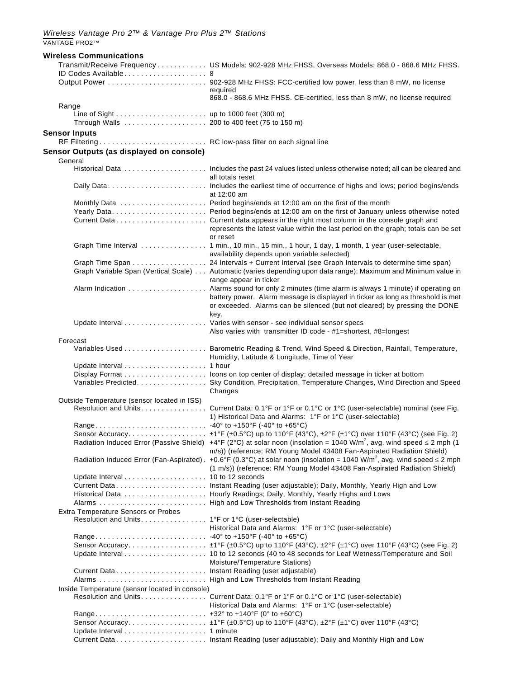| <b>Wireless Communications</b>                     |                                                                                                                                                                                                                    |
|----------------------------------------------------|--------------------------------------------------------------------------------------------------------------------------------------------------------------------------------------------------------------------|
|                                                    | Transmit/Receive Frequency US Models: 902-928 MHz FHSS, Overseas Models: 868.0 - 868.6 MHz FHSS.                                                                                                                   |
|                                                    |                                                                                                                                                                                                                    |
|                                                    | required                                                                                                                                                                                                           |
|                                                    | 868.0 - 868.6 MHz FHSS. CE-certified, less than 8 mW, no license required                                                                                                                                          |
| Range                                              |                                                                                                                                                                                                                    |
|                                                    |                                                                                                                                                                                                                    |
| <b>Sensor Inputs</b>                               |                                                                                                                                                                                                                    |
|                                                    |                                                                                                                                                                                                                    |
| Sensor Outputs (as displayed on console)           |                                                                                                                                                                                                                    |
| General                                            |                                                                                                                                                                                                                    |
|                                                    | all totals reset                                                                                                                                                                                                   |
|                                                    | at 12:00 am                                                                                                                                                                                                        |
|                                                    |                                                                                                                                                                                                                    |
|                                                    |                                                                                                                                                                                                                    |
|                                                    | represents the latest value within the last period on the graph; totals can be set<br>or reset                                                                                                                     |
|                                                    | Graph Time Interval 1 min., 10 min., 15 min., 1 hour, 1 day, 1 month, 1 year (user-selectable,<br>availability depends upon variable selected)                                                                     |
|                                                    | Graph Time Span 24 Intervals + Current Interval (see Graph Intervals to determine time span)                                                                                                                       |
|                                                    | Graph Variable Span (Vertical Scale) Automatic (varies depending upon data range); Maximum and Minimum value in<br>range appear in ticker                                                                          |
|                                                    | Alarm Indication  Alarms sound for only 2 minutes (time alarm is always 1 minute) if operating on                                                                                                                  |
|                                                    | battery power. Alarm message is displayed in ticker as long as threshold is met<br>or exceeded. Alarms can be silenced (but not cleared) by pressing the DONE<br>key.                                              |
|                                                    |                                                                                                                                                                                                                    |
|                                                    | Also varies with transmitter ID code - #1=shortest, #8=longest                                                                                                                                                     |
| Forecast                                           |                                                                                                                                                                                                                    |
|                                                    | Humidity, Latitude & Longitude, Time of Year                                                                                                                                                                       |
|                                                    |                                                                                                                                                                                                                    |
|                                                    | Variables Predicted. Sky Condition, Precipitation, Temperature Changes, Wind Direction and Speed<br>Changes                                                                                                        |
| Outside Temperature (sensor located in ISS)        |                                                                                                                                                                                                                    |
|                                                    | Resolution and Units. Current Data: 0.1°F or 1°F or 0.1°C or 1°C (user-selectable) nominal (see Fig.<br>1) Historical Data and Alarms: 1°F or 1°C (user-selectable)                                                |
|                                                    |                                                                                                                                                                                                                    |
|                                                    | Radiation Induced Error (Passive Shield) +4°F (2°C) at solar noon (insolation = 1040 W/m <sup>2</sup> , avg. wind speed $\leq$ 2 mph (1                                                                            |
|                                                    | m/s)) (reference: RM Young Model 43408 Fan-Aspirated Radiation Shield)<br>Radiation Induced Error (Fan-Aspirated). +0.6°F (0.3°C) at solar noon (insolation = 1040 W/m <sup>2</sup> , avg. wind speed $\leq$ 2 mph |
|                                                    | (1 m/s)) (reference: RM Young Model 43408 Fan-Aspirated Radiation Shield)                                                                                                                                          |
|                                                    |                                                                                                                                                                                                                    |
|                                                    |                                                                                                                                                                                                                    |
|                                                    |                                                                                                                                                                                                                    |
| Extra Temperature Sensors or Probes                |                                                                                                                                                                                                                    |
| Resolution and Units. 1°F or 1°C (user-selectable) | Historical Data and Alarms: 1°F or 1°C (user-selectable)                                                                                                                                                           |
|                                                    |                                                                                                                                                                                                                    |
|                                                    |                                                                                                                                                                                                                    |
|                                                    | Update Interval 10 to 12 seconds (40 to 48 seconds for Leaf Wetness/Temperature and Soil                                                                                                                           |
|                                                    | Moisture/Temperature Stations)                                                                                                                                                                                     |
| Current Data Instant Reading (user adjustable)     |                                                                                                                                                                                                                    |
|                                                    |                                                                                                                                                                                                                    |
| Inside Temperature (sensor located in console)     |                                                                                                                                                                                                                    |
|                                                    | Resolution and Units. Current Data: 0.1°F or 1°F or 0.1°C or 1°C (user-selectable)<br>Historical Data and Alarms: 1°F or 1°C (user-selectable)                                                                     |
|                                                    |                                                                                                                                                                                                                    |
|                                                    |                                                                                                                                                                                                                    |
|                                                    |                                                                                                                                                                                                                    |
|                                                    |                                                                                                                                                                                                                    |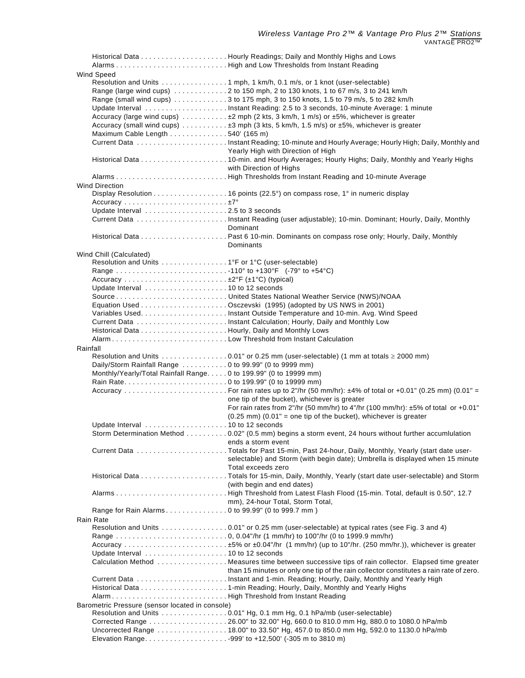| Wind Speed                                                        |                                                                                                                                                              |  |  |
|-------------------------------------------------------------------|--------------------------------------------------------------------------------------------------------------------------------------------------------------|--|--|
|                                                                   | Resolution and Units 1 mph, 1 km/h, 0.1 m/s, or 1 knot (user-selectable)<br>Range (large wind cups) 2 to 150 mph, 2 to 130 knots, 1 to 67 m/s, 3 to 241 km/h |  |  |
|                                                                   | Range (small wind cups) 3 to 175 mph, 3 to 150 knots, 1.5 to 79 m/s, 5 to 282 km/h                                                                           |  |  |
|                                                                   |                                                                                                                                                              |  |  |
|                                                                   | Accuracy (large wind cups) ±2 mph (2 kts, 3 km/h, 1 m/s) or ±5%, whichever is greater                                                                        |  |  |
|                                                                   | Accuracy (small wind cups) ±3 mph (3 kts, 5 km/h, 1.5 m/s) or ±5%, whichever is greater                                                                      |  |  |
| Maximum Cable Length 540' (165 m)                                 |                                                                                                                                                              |  |  |
|                                                                   |                                                                                                                                                              |  |  |
|                                                                   | Yearly High with Direction of High                                                                                                                           |  |  |
|                                                                   |                                                                                                                                                              |  |  |
|                                                                   | with Direction of Highs                                                                                                                                      |  |  |
| <b>Wind Direction</b>                                             |                                                                                                                                                              |  |  |
|                                                                   | Display Resolution 16 points (22.5°) on compass rose, 1° in numeric display                                                                                  |  |  |
|                                                                   |                                                                                                                                                              |  |  |
|                                                                   |                                                                                                                                                              |  |  |
|                                                                   |                                                                                                                                                              |  |  |
|                                                                   | Dominant                                                                                                                                                     |  |  |
|                                                                   |                                                                                                                                                              |  |  |
|                                                                   | Dominants                                                                                                                                                    |  |  |
| Wind Chill (Calculated)                                           |                                                                                                                                                              |  |  |
|                                                                   |                                                                                                                                                              |  |  |
|                                                                   |                                                                                                                                                              |  |  |
|                                                                   |                                                                                                                                                              |  |  |
|                                                                   |                                                                                                                                                              |  |  |
|                                                                   |                                                                                                                                                              |  |  |
|                                                                   |                                                                                                                                                              |  |  |
|                                                                   |                                                                                                                                                              |  |  |
|                                                                   |                                                                                                                                                              |  |  |
|                                                                   |                                                                                                                                                              |  |  |
| Rainfall                                                          | Resolution and Units $\dots\dots\dots\dots\dots0.01$ " or 0.25 mm (user-selectable) (1 mm at totals $\geq$ 2000 mm)                                          |  |  |
| Daily/Storm Rainfall Range 0 to 99.99" (0 to 9999 mm)             |                                                                                                                                                              |  |  |
| Monthly/Yearly/Total Rainfall Range. 0 to 199.99" (0 to 19999 mm) |                                                                                                                                                              |  |  |
|                                                                   |                                                                                                                                                              |  |  |
|                                                                   |                                                                                                                                                              |  |  |
|                                                                   | one tip of the bucket), whichever is greater                                                                                                                 |  |  |
|                                                                   | For rain rates from 2"/hr (50 mm/hr) to 4"/hr (100 mm/hr): ±5% of total or +0.01"                                                                            |  |  |
|                                                                   | $(0.25 \text{ mm})$ (0.01" = one tip of the bucket), whichever is greater                                                                                    |  |  |
|                                                                   | Storm Determination Method 0.02" (0.5 mm) begins a storm event, 24 hours without further accumlulation                                                       |  |  |
|                                                                   | ends a storm event                                                                                                                                           |  |  |
|                                                                   |                                                                                                                                                              |  |  |
|                                                                   | selectable) and Storm (with begin date); Umbrella is displayed when 15 minute                                                                                |  |  |
|                                                                   | Total exceeds zero                                                                                                                                           |  |  |
|                                                                   |                                                                                                                                                              |  |  |
|                                                                   | (with begin and end dates)                                                                                                                                   |  |  |
|                                                                   | AlarmsHigh Threshold from Latest Flash Flood (15-min. Total, default is 0.50", 12.7                                                                          |  |  |
|                                                                   | mm), 24-hour Total, Storm Total,                                                                                                                             |  |  |
| <b>Rain Rate</b>                                                  |                                                                                                                                                              |  |  |
|                                                                   | Resolution and Units 0.01" or 0.25 mm (user-selectable) at typical rates (see Fig. 3 and 4)                                                                  |  |  |
|                                                                   |                                                                                                                                                              |  |  |
|                                                                   |                                                                                                                                                              |  |  |
|                                                                   |                                                                                                                                                              |  |  |
|                                                                   | Calculation Method  Measures time between successive tips of rain collector. Elapsed time greater                                                            |  |  |
|                                                                   | than 15 minutes or only one tip of the rain collector constitutes a rain rate of zero.                                                                       |  |  |
|                                                                   |                                                                                                                                                              |  |  |
|                                                                   |                                                                                                                                                              |  |  |
|                                                                   | Barometric Pressure (sensor located in console)                                                                                                              |  |  |
|                                                                   | Resolution and Units 0.01" Hg, 0.1 mm Hg, 0.1 hPa/mb (user-selectable)                                                                                       |  |  |
|                                                                   |                                                                                                                                                              |  |  |
|                                                                   | Uncorrected Range 18.00" to 33.50" Hg, 457.0 to 850.0 mm Hg, 592.0 to 1130.0 hPa/mb                                                                          |  |  |
|                                                                   |                                                                                                                                                              |  |  |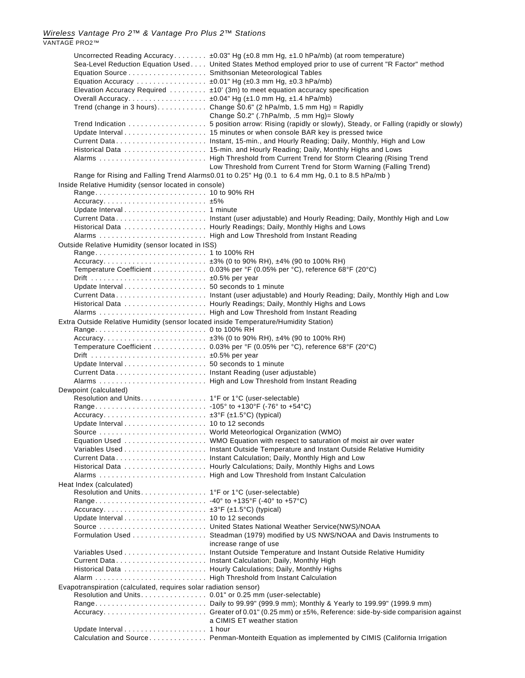*Wireless Vantage Pro 2™ & Vantage Pro Plus 2™ Stations* VANTAGE PRO2™

| Equation Source Smithsonian Meteorological Tables<br>Equation Accuracy $\pm 0.01$ " Hg ( $\pm 0.3$ mm Hg, $\pm 0.3$ hPa/mb) | Uncorrected Reading Accuracy $\pm 0.03$ " Hg ( $\pm 0.8$ mm Hg, $\pm 1.0$ hPa/mb) (at room temperature)<br>Sea-Level Reduction Equation Used United States Method employed prior to use of current "R Factor" method<br>Elevation Accuracy Required ±10' (3m) to meet equation accuracy specification<br>Trend (change in 3 hours)Change $\text{SO}_0$ .6" (2 hPa/mb, 1.5 mm Hg) = Rapidly<br>Change S0.2" (.7hPa/mb, .5 mm Hg)= Slowly<br>Trend Indication 5 position arrow: Rising (rapidly or slowly), Steady, or Falling (rapidly or slowly)<br>Low Threshold from Current Trend for Storm Warning (Falling Trend)<br>Range for Rising and Falling Trend Alarms0.01 to 0.25" Hg (0.1 to 6.4 mm Hg, 0.1 to 8.5 hPa/mb) |  |
|-----------------------------------------------------------------------------------------------------------------------------|---------------------------------------------------------------------------------------------------------------------------------------------------------------------------------------------------------------------------------------------------------------------------------------------------------------------------------------------------------------------------------------------------------------------------------------------------------------------------------------------------------------------------------------------------------------------------------------------------------------------------------------------------------------------------------------------------------------------------|--|
| Inside Relative Humidity (sensor located in console)                                                                        |                                                                                                                                                                                                                                                                                                                                                                                                                                                                                                                                                                                                                                                                                                                           |  |
|                                                                                                                             |                                                                                                                                                                                                                                                                                                                                                                                                                                                                                                                                                                                                                                                                                                                           |  |
|                                                                                                                             |                                                                                                                                                                                                                                                                                                                                                                                                                                                                                                                                                                                                                                                                                                                           |  |
|                                                                                                                             |                                                                                                                                                                                                                                                                                                                                                                                                                                                                                                                                                                                                                                                                                                                           |  |
|                                                                                                                             | Current Data Instant (user adjustable) and Hourly Reading; Daily, Monthly High and Low                                                                                                                                                                                                                                                                                                                                                                                                                                                                                                                                                                                                                                    |  |
|                                                                                                                             |                                                                                                                                                                                                                                                                                                                                                                                                                                                                                                                                                                                                                                                                                                                           |  |
|                                                                                                                             |                                                                                                                                                                                                                                                                                                                                                                                                                                                                                                                                                                                                                                                                                                                           |  |
| Outside Relative Humidity (sensor located in ISS)                                                                           |                                                                                                                                                                                                                                                                                                                                                                                                                                                                                                                                                                                                                                                                                                                           |  |
|                                                                                                                             |                                                                                                                                                                                                                                                                                                                                                                                                                                                                                                                                                                                                                                                                                                                           |  |
|                                                                                                                             |                                                                                                                                                                                                                                                                                                                                                                                                                                                                                                                                                                                                                                                                                                                           |  |
|                                                                                                                             | Temperature Coefficient 0.03% per °F (0.05% per °C), reference 68°F (20°C)                                                                                                                                                                                                                                                                                                                                                                                                                                                                                                                                                                                                                                                |  |
| Drift  ±0.5% per year                                                                                                       |                                                                                                                                                                                                                                                                                                                                                                                                                                                                                                                                                                                                                                                                                                                           |  |
|                                                                                                                             |                                                                                                                                                                                                                                                                                                                                                                                                                                                                                                                                                                                                                                                                                                                           |  |
|                                                                                                                             | Current Data Instant (user adjustable) and Hourly Reading; Daily, Monthly High and Low                                                                                                                                                                                                                                                                                                                                                                                                                                                                                                                                                                                                                                    |  |
|                                                                                                                             |                                                                                                                                                                                                                                                                                                                                                                                                                                                                                                                                                                                                                                                                                                                           |  |
|                                                                                                                             |                                                                                                                                                                                                                                                                                                                                                                                                                                                                                                                                                                                                                                                                                                                           |  |
| Extra Outside Relative Humidity (sensor located inside Temperature/Humidity Station)                                        |                                                                                                                                                                                                                                                                                                                                                                                                                                                                                                                                                                                                                                                                                                                           |  |
|                                                                                                                             |                                                                                                                                                                                                                                                                                                                                                                                                                                                                                                                                                                                                                                                                                                                           |  |
|                                                                                                                             |                                                                                                                                                                                                                                                                                                                                                                                                                                                                                                                                                                                                                                                                                                                           |  |
|                                                                                                                             | Temperature Coefficient 0.03% per °F (0.05% per °C), reference 68°F (20°C)                                                                                                                                                                                                                                                                                                                                                                                                                                                                                                                                                                                                                                                |  |
| Drift  ±0.5% per year                                                                                                       |                                                                                                                                                                                                                                                                                                                                                                                                                                                                                                                                                                                                                                                                                                                           |  |
|                                                                                                                             |                                                                                                                                                                                                                                                                                                                                                                                                                                                                                                                                                                                                                                                                                                                           |  |
| Current Data Instant Reading (user adjustable)                                                                              |                                                                                                                                                                                                                                                                                                                                                                                                                                                                                                                                                                                                                                                                                                                           |  |
|                                                                                                                             |                                                                                                                                                                                                                                                                                                                                                                                                                                                                                                                                                                                                                                                                                                                           |  |
| Dewpoint (calculated)                                                                                                       |                                                                                                                                                                                                                                                                                                                                                                                                                                                                                                                                                                                                                                                                                                                           |  |
| Resolution and Units. 1°F or 1°C (user-selectable)                                                                          |                                                                                                                                                                                                                                                                                                                                                                                                                                                                                                                                                                                                                                                                                                                           |  |
|                                                                                                                             |                                                                                                                                                                                                                                                                                                                                                                                                                                                                                                                                                                                                                                                                                                                           |  |
|                                                                                                                             |                                                                                                                                                                                                                                                                                                                                                                                                                                                                                                                                                                                                                                                                                                                           |  |
|                                                                                                                             |                                                                                                                                                                                                                                                                                                                                                                                                                                                                                                                                                                                                                                                                                                                           |  |
| Source                                                                                                                      | World Meteorlogical Organization (WMO)                                                                                                                                                                                                                                                                                                                                                                                                                                                                                                                                                                                                                                                                                    |  |
|                                                                                                                             |                                                                                                                                                                                                                                                                                                                                                                                                                                                                                                                                                                                                                                                                                                                           |  |
|                                                                                                                             |                                                                                                                                                                                                                                                                                                                                                                                                                                                                                                                                                                                                                                                                                                                           |  |
|                                                                                                                             |                                                                                                                                                                                                                                                                                                                                                                                                                                                                                                                                                                                                                                                                                                                           |  |
|                                                                                                                             |                                                                                                                                                                                                                                                                                                                                                                                                                                                                                                                                                                                                                                                                                                                           |  |
|                                                                                                                             |                                                                                                                                                                                                                                                                                                                                                                                                                                                                                                                                                                                                                                                                                                                           |  |
| Heat Index (calculated)                                                                                                     |                                                                                                                                                                                                                                                                                                                                                                                                                                                                                                                                                                                                                                                                                                                           |  |
|                                                                                                                             |                                                                                                                                                                                                                                                                                                                                                                                                                                                                                                                                                                                                                                                                                                                           |  |
|                                                                                                                             |                                                                                                                                                                                                                                                                                                                                                                                                                                                                                                                                                                                                                                                                                                                           |  |
|                                                                                                                             |                                                                                                                                                                                                                                                                                                                                                                                                                                                                                                                                                                                                                                                                                                                           |  |
|                                                                                                                             |                                                                                                                                                                                                                                                                                                                                                                                                                                                                                                                                                                                                                                                                                                                           |  |
|                                                                                                                             |                                                                                                                                                                                                                                                                                                                                                                                                                                                                                                                                                                                                                                                                                                                           |  |
|                                                                                                                             | Formulation Used Steadman (1979) modified by US NWS/NOAA and Davis Instruments to                                                                                                                                                                                                                                                                                                                                                                                                                                                                                                                                                                                                                                         |  |
|                                                                                                                             | increase range of use                                                                                                                                                                                                                                                                                                                                                                                                                                                                                                                                                                                                                                                                                                     |  |
|                                                                                                                             |                                                                                                                                                                                                                                                                                                                                                                                                                                                                                                                                                                                                                                                                                                                           |  |
| Current Data Instant Calculation; Daily, Monthly High                                                                       |                                                                                                                                                                                                                                                                                                                                                                                                                                                                                                                                                                                                                                                                                                                           |  |
|                                                                                                                             |                                                                                                                                                                                                                                                                                                                                                                                                                                                                                                                                                                                                                                                                                                                           |  |
|                                                                                                                             |                                                                                                                                                                                                                                                                                                                                                                                                                                                                                                                                                                                                                                                                                                                           |  |
| Evapotranspiration (calculated, requires solar radiation sensor)                                                            |                                                                                                                                                                                                                                                                                                                                                                                                                                                                                                                                                                                                                                                                                                                           |  |
|                                                                                                                             |                                                                                                                                                                                                                                                                                                                                                                                                                                                                                                                                                                                                                                                                                                                           |  |
|                                                                                                                             |                                                                                                                                                                                                                                                                                                                                                                                                                                                                                                                                                                                                                                                                                                                           |  |
|                                                                                                                             |                                                                                                                                                                                                                                                                                                                                                                                                                                                                                                                                                                                                                                                                                                                           |  |
|                                                                                                                             | a CIMIS ET weather station                                                                                                                                                                                                                                                                                                                                                                                                                                                                                                                                                                                                                                                                                                |  |
|                                                                                                                             |                                                                                                                                                                                                                                                                                                                                                                                                                                                                                                                                                                                                                                                                                                                           |  |
|                                                                                                                             | Calculation and Source Penman-Monteith Equation as implemented by CIMIS (California Irrigation                                                                                                                                                                                                                                                                                                                                                                                                                                                                                                                                                                                                                            |  |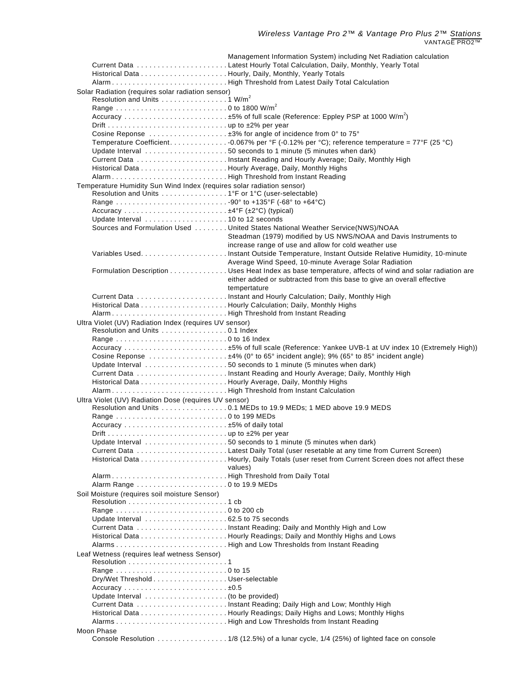|                                                                                              | Management Information System) including Net Radiation calculation                                   |
|----------------------------------------------------------------------------------------------|------------------------------------------------------------------------------------------------------|
|                                                                                              |                                                                                                      |
|                                                                                              |                                                                                                      |
|                                                                                              |                                                                                                      |
| Solar Radiation (requires solar radiation sensor)<br>Resolution and Units 1 W/m <sup>2</sup> |                                                                                                      |
|                                                                                              |                                                                                                      |
|                                                                                              |                                                                                                      |
|                                                                                              |                                                                                                      |
|                                                                                              | Cosine Reponse  ±3% for angle of incidence from 0° to 75°                                            |
|                                                                                              | Temperature Coefficient. 0.067% per °F (-0.12% per °C); reference temperature = 77°F (25 °C)         |
|                                                                                              |                                                                                                      |
|                                                                                              |                                                                                                      |
|                                                                                              |                                                                                                      |
| AlarmHigh Threshold from Instant Reading                                                     |                                                                                                      |
| Temperature Humidity Sun Wind Index (requires solar radiation sensor)                        |                                                                                                      |
| Resolution and Units 1°F or 1°C (user-selectable)                                            |                                                                                                      |
|                                                                                              |                                                                                                      |
|                                                                                              |                                                                                                      |
|                                                                                              |                                                                                                      |
|                                                                                              | Sources and Formulation Used United States National Weather Service(NWS)/NOAA                        |
|                                                                                              | Steadman (1979) modified by US NWS/NOAA and Davis Instruments to                                     |
|                                                                                              | increase range of use and allow for cold weather use                                                 |
|                                                                                              | Variables UsedInstant Outside Temperature, Instant Outside Relative Humidity, 10-minute              |
|                                                                                              | Average Wind Speed, 10-minute Average Solar Radiation                                                |
|                                                                                              | Formulation Description Uses Heat Index as base temperature, affects of wind and solar radiation are |
|                                                                                              | either added or subtracted from this base to give an overall effective                               |
|                                                                                              | tempertature                                                                                         |
|                                                                                              |                                                                                                      |
|                                                                                              |                                                                                                      |
| AlarmHigh Threshold from Instant Reading                                                     |                                                                                                      |
| Ultra Violet (UV) Radiation Index (requires UV sensor)<br>Resolution and Units 0.1 Index     |                                                                                                      |
|                                                                                              |                                                                                                      |
|                                                                                              |                                                                                                      |
|                                                                                              |                                                                                                      |
|                                                                                              | Update Interval 50 seconds to 1 minute (5 minutes when dark)                                         |
|                                                                                              |                                                                                                      |
|                                                                                              |                                                                                                      |
|                                                                                              |                                                                                                      |
| Ultra Violet (UV) Radiation Dose (requires UV sensor)                                        |                                                                                                      |
|                                                                                              | Resolution and Units 0.1 MEDs to 19.9 MEDs; 1 MED above 19.9 MEDS                                    |
|                                                                                              |                                                                                                      |
|                                                                                              |                                                                                                      |
|                                                                                              |                                                                                                      |
|                                                                                              | Update Interval 50 seconds to 1 minute (5 minutes when dark)                                         |
|                                                                                              |                                                                                                      |
|                                                                                              |                                                                                                      |
|                                                                                              | values)                                                                                              |
| AlarmHigh Threshold from Daily Total                                                         |                                                                                                      |
|                                                                                              |                                                                                                      |
| Soil Moisture (requires soil moisture Sensor)                                                |                                                                                                      |
|                                                                                              |                                                                                                      |
|                                                                                              |                                                                                                      |
|                                                                                              |                                                                                                      |
|                                                                                              |                                                                                                      |
|                                                                                              |                                                                                                      |
| Leaf Wetness (requires leaf wetness Sensor)                                                  |                                                                                                      |
|                                                                                              |                                                                                                      |
|                                                                                              |                                                                                                      |
| Dry/Wet Threshold User-selectable                                                            |                                                                                                      |
|                                                                                              |                                                                                                      |
|                                                                                              |                                                                                                      |
|                                                                                              |                                                                                                      |
|                                                                                              |                                                                                                      |
|                                                                                              |                                                                                                      |
| Moon Phase                                                                                   |                                                                                                      |
|                                                                                              | Console Resolution 1/8 (12.5%) of a lunar cycle, 1/4 (25%) of lighted face on console                |
|                                                                                              |                                                                                                      |